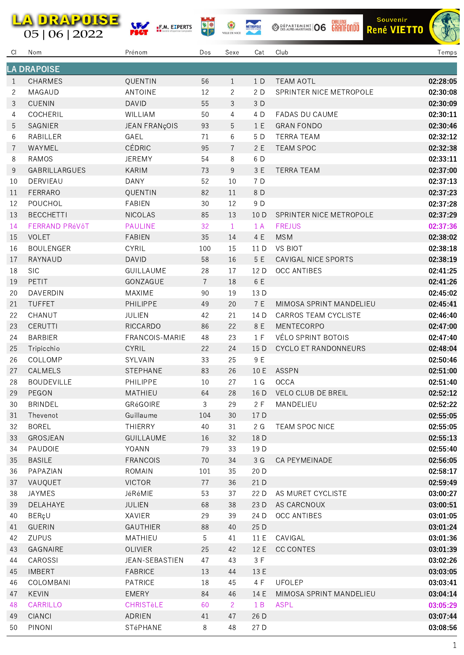|                | <u>LA DRAPOISE</u><br>05   06   2022 | W<br><b>F.M. EXPERTS</b><br>тт | 美参<br>$  \cdot  $ | VILLE DE NICE  |                | Souvenir<br><sup>CHALLENGE</sup><br>GRANFONDO<br><b>BEPARTEMENT 06</b><br><b>René VIETTO</b> |                      |
|----------------|--------------------------------------|--------------------------------|-------------------|----------------|----------------|----------------------------------------------------------------------------------------------|----------------------|
| CI.            | Nom                                  | Prénom                         | Dos               | Sexe           | Cat            | Club                                                                                         | Temps                |
|                | <b>LA DRAPOISE</b>                   |                                |                   |                |                |                                                                                              |                      |
| 1              | <b>CHARMES</b>                       | QUENTIN                        | 56                | 1              | 1 D            | <b>TEAM AOTL</b>                                                                             | 02:28:05             |
| 2              | MAGAUD                               | <b>ANTOINE</b>                 | 12                | $\overline{c}$ | 2 D            | SPRINTER NICE METROPOLE                                                                      | 02:30:08             |
| 3              | <b>CUENIN</b>                        | <b>DAVID</b>                   | 55                | 3              | 3 D            |                                                                                              | 02:30:09             |
| $\overline{4}$ | COCHERIL                             | WILLIAM                        | 50                | $\overline{4}$ | 4 D            | <b>FADAS DU CAUME</b>                                                                        | 02:30:11             |
| 5              | SAGNIER                              | JEAN FRANçOIS                  | 93                | 5              | 1E             | <b>GRAN FONDO</b>                                                                            | 02:30:46             |
| 6              | RABILLER                             | GAEL                           | 71                | 6              | 5 D            | <b>TERRA TEAM</b>                                                                            | 02:32:12             |
| 7              | WAYMEL                               | CÉDRIC                         | 95                | $\overline{7}$ | 2E             | <b>TEAM SPOC</b>                                                                             | 02:32:38             |
| 8              | <b>RAMOS</b>                         | <b>JEREMY</b>                  | 54                | 8              | 6 D            |                                                                                              | 02:33:11             |
| 9              | GABRILLARGUES                        | <b>KARIM</b>                   | 73                | 9              | 3 E            | <b>TERRA TEAM</b>                                                                            | 02:37:00             |
| 10             | DERVIEAU                             | <b>DANY</b>                    | 52                | 10             | 7 D            |                                                                                              | 02:37:13             |
| 11             | FERRARO                              | QUENTIN                        | 82                | 11             | 8 D            |                                                                                              | 02:37:23             |
| 12             | POUCHOL                              | <b>FABIEN</b>                  | 30                | 12             | 9 D            |                                                                                              | 02:37:28             |
| 13             | <b>BECCHETTI</b>                     | <b>NICOLAS</b>                 | 85                | 13             | 10 D           | SPRINTER NICE METROPOLE                                                                      | 02:37:29             |
| 14             | <b>FERRAND PRéVôT</b>                | <b>PAULINE</b>                 | 32                | $\mathbf{1}$   | 1A             | <b>FREJUS</b>                                                                                | 02:37:36             |
| 15             | <b>VOLET</b>                         | <b>FABIEN</b>                  | 35                | 14             | 4 E            | <b>MSM</b>                                                                                   | 02:38:02             |
| 16             | <b>BOULENGER</b>                     | <b>CYRIL</b>                   | 100               | 15             | 11 D           | <b>VS BIOT</b>                                                                               | 02:38:18             |
| 17             | RAYNAUD                              | <b>DAVID</b>                   | 58                | 16             | 5 E            | CAVIGAL NICE SPORTS                                                                          | 02:38:19             |
| 18             | <b>SIC</b>                           | <b>GUILLAUME</b>               | 28                | 17             | 12 D           | <b>OCC ANTIBES</b>                                                                           | 02:41:25             |
| 19             | PETIT                                | GONZAGUE                       | $\overline{7}$    | 18             | 6 E            |                                                                                              | 02:41:26             |
| 20             | DAVERDIN                             | MAXIME                         | 90                | 19             | 13 D           |                                                                                              | 02:45:02             |
| 21             | <b>TUFFET</b>                        | PHILIPPE                       | 49                | 20             | 7 E            | MIMOSA SPRINT MANDELIEU                                                                      | 02:45:41             |
| 22             | CHANUT                               | JULIEN                         | 42                | 21             | 14 D           | CARROS TEAM CYCLISTE                                                                         | 02:46:40             |
| 23             | <b>CERUTTI</b>                       | <b>RICCARDO</b>                | 86                | 22             | 8 E            | MENTECORPO                                                                                   | 02:47:00             |
| 24             | <b>BARBIER</b>                       | FRANCOIS-MARIE                 | 48                | 23             | 1 F            | VÉLO SPRINT BOTOIS                                                                           | 02:47:40             |
| 25             | Tripicchio                           | <b>CYRIL</b>                   | 22                | 24             | 15 D           | <b>CYCLO ET RANDONNEURS</b>                                                                  | 02:48:04             |
| 26             | COLLOMP                              | SYLVAIN                        | 33                | 25             | 9 E            |                                                                                              | 02:50:46             |
| 27             | CALMELS                              | <b>STEPHANE</b>                | 83                | 26             | 10 E           | ASSPN                                                                                        | 02:51:00             |
| 28             | <b>BOUDEVILLE</b>                    | PHILIPPE                       | $10\,$            | 27             | 1 <sub>G</sub> | OCCA                                                                                         | 02:51:40             |
| 29             | PEGON                                | MATHIEU                        | 64                | 28             | 16 D           | VELO CLUB DE BREIL                                                                           | 02:52:12             |
| 30             | <b>BRINDEL</b>                       | GRéGOIRE                       | $\mathbf{3}$      | 29             | 2F             | MANDELIEU                                                                                    | 02:52:22             |
| 31             | Thevenot                             | Guillaume                      | 104               | 30             | 17 D           |                                                                                              | 02:55:05             |
| 32             | <b>BOREL</b>                         | <b>THIERRY</b>                 | 40                | 31             | 2 G            | TEAM SPOC NICE                                                                               | 02:55:05             |
| 33             | GROSJEAN                             | <b>GUILLAUME</b>               | 16                | 32             | 18 D           |                                                                                              | 02:55:13             |
| 34             | PAUDOIE<br><b>BASILE</b>             | YOANN<br><b>FRANCOIS</b>       | 79<br>70          | 33<br>34       | 19 D<br>3 G    | CA PEYMEINADE                                                                                | 02:55:40             |
| 35<br>36       | PAPAZIAN                             | <b>ROMAIN</b>                  | 101               | 35             | 20 D           |                                                                                              | 02:56:05<br>02:58:17 |
| 37             | VAUQUET                              | <b>VICTOR</b>                  | 77                | 36             | 21 D           |                                                                                              | 02:59:49             |
| 38             | <b>JAYMES</b>                        | JéRéMIE                        | 53                | 37             | 22 D           | AS MURET CYCLISTE                                                                            | 03:00:27             |
| 39             | DELAHAYE                             | <b>JULIEN</b>                  | 68                | 38             | 23 D           | AS CARCNOUX                                                                                  | 03:00:51             |
| 40             | BERçU                                | XAVIER                         | 29                | 39             | 24 D           | <b>OCC ANTIBES</b>                                                                           | 03:01:05             |
| 41             | <b>GUERIN</b>                        | <b>GAUTHIER</b>                | 88                | 40             | 25 D           |                                                                                              | 03:01:24             |
| 42             | <b>ZUPUS</b>                         | MATHIEU                        | 5                 | 41             | 11 E           | CAVIGAL                                                                                      | 03:01:36             |
| 43             | GAGNAIRE                             | <b>OLIVIER</b>                 | 25                | 42             | 12 E           | <b>CC CONTES</b>                                                                             | 03:01:39             |
| 44             | CAROSSI                              | JEAN-SEBASTIEN                 | 47                | 43             | 3F             |                                                                                              | 03:02:26             |
| 45             | <b>IMBERT</b>                        | <b>FABRICE</b>                 | 13                | 44             | 13 E           |                                                                                              | 03:03:05             |
| 46             | COLOMBANI                            | PATRICE                        | 18                | 45             | 4 F            | <b>UFOLEP</b>                                                                                | 03:03:41             |
| 47             | <b>KEVIN</b>                         | <b>EMERY</b>                   | 84                | 46             | 14 E           | MIMOSA SPRINT MANDELIEU                                                                      | 03:04:14             |
| 48             | <b>CARRILLO</b>                      | <b>CHRISTèLE</b>               | 60                | $2^{\circ}$    | 1B             | <b>ASPL</b>                                                                                  | 03:05:29             |
| 49             | <b>CIANCI</b>                        | ADRIEN                         | 41                | 47             | 26 D           |                                                                                              | 03:07:44             |
| 50             | PINONI                               | STéPHANE                       | 8                 | 48             | 27 D           |                                                                                              | 03:08:56             |

**LA DRAPOISE** 

 $\overline{a}$ 

R.